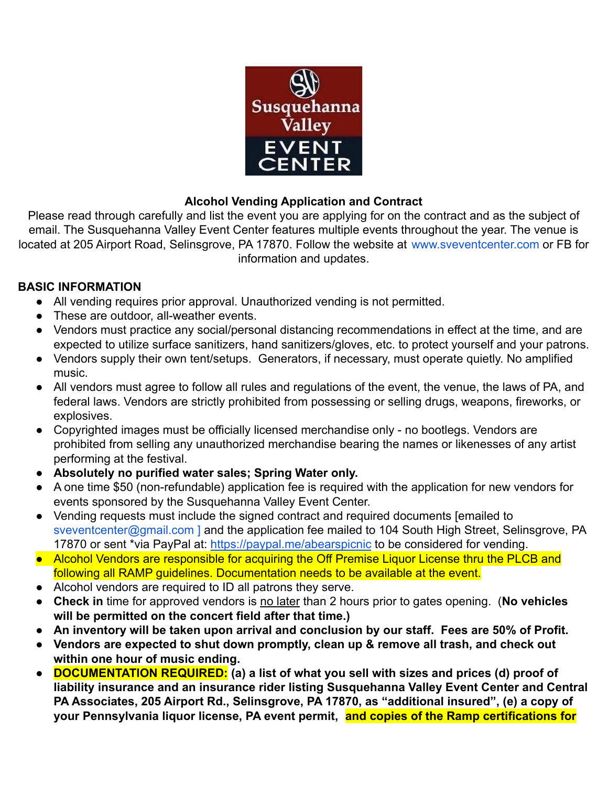

## **Alcohol Vending Application and Contract**

Please read through carefully and list the event you are applying for on the contract and as the subject of email. The Susquehanna Valley Event Center features multiple events throughout the year. The venue is located at 205 Airport Road, Selinsgrove, PA 17870. Follow the website at www.sveventcenter.com or FB for information and updates.

## **BASIC INFORMATION**

- All vending requires prior approval. Unauthorized vending is not permitted.
- These are outdoor, all-weather events.
- Vendors must practice any social/personal distancing recommendations in effect at the time, and are expected to utilize surface sanitizers, hand sanitizers/gloves, etc. to protect yourself and your patrons.
- Vendors supply their own tent/setups. Generators, if necessary, must operate quietly. No amplified music.
- All vendors must agree to follow all rules and regulations of the event, the venue, the laws of PA, and federal laws. Vendors are strictly prohibited from possessing or selling drugs, weapons, fireworks, or explosives.
- Copyrighted images must be officially licensed merchandise only no bootlegs. Vendors are prohibited from selling any unauthorized merchandise bearing the names or likenesses of any artist performing at the festival.
- **● Absolutely no purified water sales; Spring Water only.**
- A one time \$50 (non-refundable) application fee is required with the application for new vendors for events sponsored by the Susquehanna Valley Event Center.
- Vending requests must include the signed contract and required documents [emailed to sveventcenter@gmail.com ] and the application fee mailed to 104 South High Street, Selinsgrove, PA 17870 or sent \*via PayPal at: <https://paypal.me/abearspicnic> to be considered for vending.
- Alcohol Vendors are responsible for acquiring the Off Premise Liquor License thru the PLCB and following all RAMP guidelines. Documentation needs to be available at the event.
- Alcohol vendors are required to ID all patrons they serve.
- **Check in** time for approved vendors is no later than 2 hours prior to gates opening. (**No vehicles will be permitted on the concert field after that time.)**
- **● An inventory will be taken upon arrival and conclusion by our staff. Fees are 50% of Profit.**
- **● Vendors are expected to shut down promptly, clean up & remove all trash, and check out within one hour of music ending.**
- **● DOCUMENTATION REQUIRED: (a) a list of what you sell with sizes and prices (d) proof of liability insurance and an insurance rider listing Susquehanna Valley Event Center and Central PA Associates, 205 Airport Rd., Selinsgrove, PA 17870, as "additional insured", (e) a copy of your Pennsylvania liquor license, PA event permit, and copies of the Ramp certifications for**